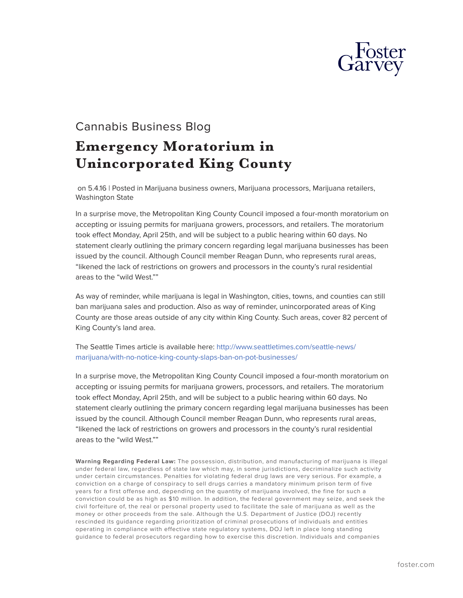

## Cannabis Business Blog **Emergency Moratorium in Unincorporated King County**

 on 5.4.16 | Posted in Marijuana business owners, Marijuana processors, Marijuana retailers, Washington State

In a surprise move, the Metropolitan King County Council imposed a four-month moratorium on accepting or issuing permits for marijuana growers, processors, and retailers. The moratorium took effect Monday, April 25th, and will be subject to a public hearing within 60 days. No statement clearly outlining the primary concern regarding legal marijuana businesses has been issued by the council. Although Council member Reagan Dunn, who represents rural areas, "likened the lack of restrictions on growers and processors in the county's rural residential areas to the "wild West.""

As way of reminder, while marijuana is legal in Washington, cities, towns, and counties can still ban marijuana sales and production. Also as way of reminder, unincorporated areas of King County are those areas outside of any city within King County. Such areas, cover 82 percent of King County's land area.

The Seattle Times article is available here: [http://www.seattletimes.com/seattle-news/](http://www.seattletimes.com/seattle-news/marijuana/with-no-notice-king-county-slaps-ban-on-pot-businesses/) [marijuana/with-no-notice-king-county-slaps-ban-on-pot-businesses/](http://www.seattletimes.com/seattle-news/marijuana/with-no-notice-king-county-slaps-ban-on-pot-businesses/)

In a surprise move, the Metropolitan King County Council imposed a four-month moratorium on accepting or issuing permits for marijuana growers, processors, and retailers. The moratorium took effect Monday, April 25th, and will be subject to a public hearing within 60 days. No statement clearly outlining the primary concern regarding legal marijuana businesses has been issued by the council. Although Council member Reagan Dunn, who represents rural areas, "likened the lack of restrictions on growers and processors in the county's rural residential areas to the "wild West.""

**Warning Regarding Federal Law:** The possession, distribution, and manufacturing of marijuana is illegal under federal law, regardless of state law which may, in some jurisdictions, decriminalize such activity under certain circumstances. Penalties for violating federal drug laws are very serious. For example, a conviction on a charge of conspiracy to sell drugs carries a mandatory minimum prison term of five years for a first offense and, depending on the quantity of marijuana involved, the fine for such a conviction could be as high as \$10 million. In addition, the federal government may seize, and seek the civil forfeiture of, the real or personal property used to facilitate the sale of marijuana as well as the money or other proceeds from the sale. Although the U.S. Department of Justice (DOJ) recently rescinded its guidance regarding prioritization of criminal prosecutions of individuals and entities operating in compliance with effective state regulatory systems, DOJ left in place long standing guidance to federal prosecutors regarding how to exercise this discretion. Individuals and companies